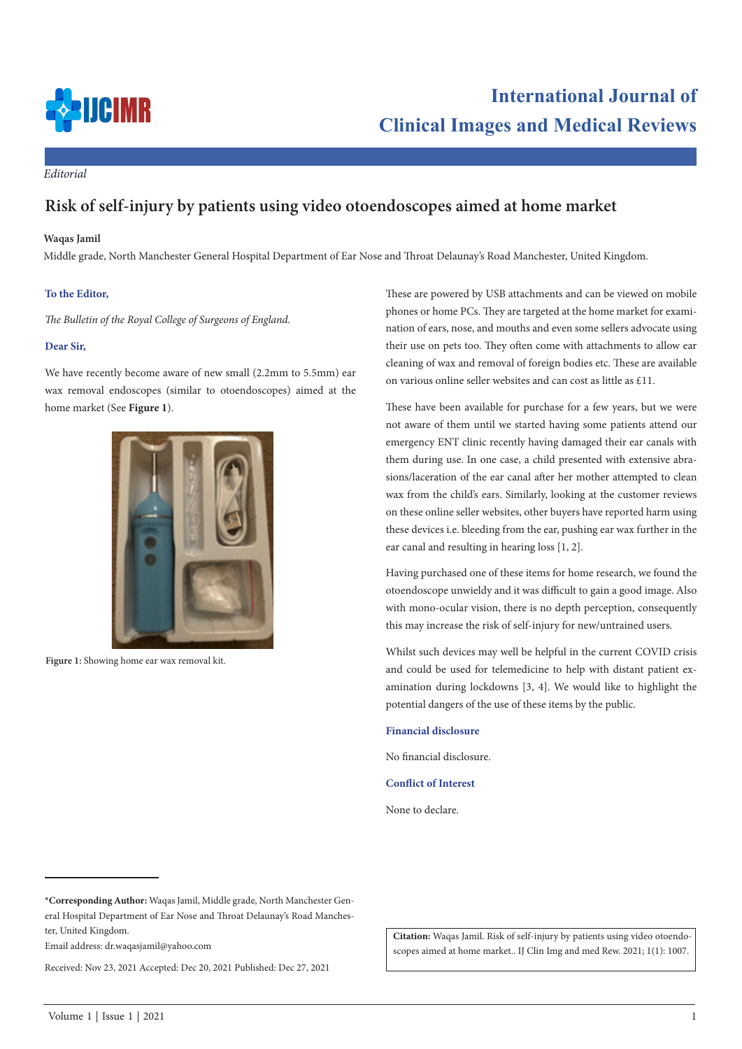

# **International Journal of Clinical Images and Medical Reviews**

*Editorial*

## **Risk of self-injury by patients using video otoendoscopes aimed at home market**

#### **Waqas Jamil**

Middle grade, North Manchester General Hospital Department of Ear Nose and Throat Delaunay's Road Manchester, United Kingdom.

### **To the Editor,**

*The Bulletin of the Royal College of Surgeons of England.*

#### **Dear Sir,**

We have recently become aware of new small (2.2mm to 5.5mm) ear wax removal endoscopes (similar to otoendoscopes) aimed at the home market (See **Figure 1**).



**Figure 1:** Showing home ear wax removal kit.

These are powered by USB attachments and can be viewed on mobile phones or home PCs. They are targeted at the home market for examination of ears, nose, and mouths and even some sellers advocate using their use on pets too. They often come with attachments to allow ear cleaning of wax and removal of foreign bodies etc. These are available on various online seller websites and can cost as little as £11.

These have been available for purchase for a few years, but we were not aware of them until we started having some patients attend our emergency ENT clinic recently having damaged their ear canals with them during use. In one case, a child presented with extensive abrasions/laceration of the ear canal after her mother attempted to clean wax from the child's ears. Similarly, looking at the customer reviews on these online seller websites, other buyers have reported harm using these devices i.e. bleeding from the ear, pushing ear wax further in the ear canal and resulting in hearing loss [1, 2].

Having purchased one of these items for home research, we found the otoendoscope unwieldy and it was difficult to gain a good image. Also with mono-ocular vision, there is no depth perception, consequently this may increase the risk of self-injury for new/untrained users.

Whilst such devices may well be helpful in the current COVID crisis and could be used for telemedicine to help with distant patient examination during lockdowns [3, 4]. We would like to highlight the potential dangers of the use of these items by the public.

#### **Financial disclosure**

No financial disclosure.

**Conflict of Interest**

None to declare.

Email address: dr.waqasjamil@yahoo.com

Received: Nov 23, 2021 Accepted: Dec 20, 2021 Published: Dec 27, 2021

**Citation:** Waqas Jamil. Risk of self-injury by patients using video otoendoscopes aimed at home market.. IJ Clin Img and med Rew. 2021; 1(1): 1007.

**<sup>\*</sup>Corresponding Author:** Waqas Jamil, Middle grade, North Manchester General Hospital Department of Ear Nose and Throat Delaunay's Road Manchester, United Kingdom.